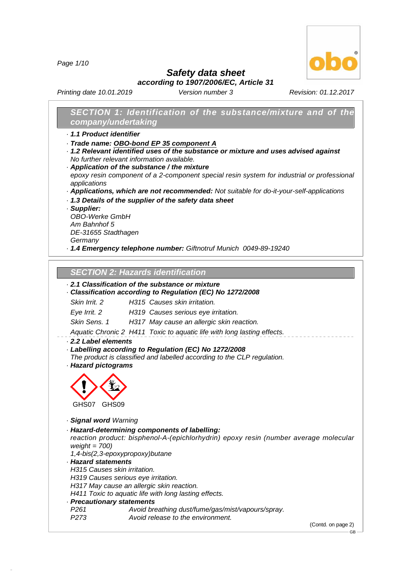*Page 1/10*



*Safety data sheet according to 1907/2006/EC, Article 31*

*Printing date 10.01.2019 Version number 3 Revision: 01.12.2017*

# *SECTION 1: Identification of the substance/mixture and of the company/undertaking*

- *· 1.1 Product identifier*
- *· Trade name: OBO-bond EP 35 component A*
- *· 1.2 Relevant identified uses of the substance or mixture and uses advised against No further relevant information available.*
- *· Application of the substance / the mixture epoxy resin component of a 2-component special resin system forindustrial or professional applications*
- *· Applications, which are not recommended: Not suitable for do-it-your-self-applications*
- *· 1.3 Details of the supplier of the safety data sheet*
- *· Supplier:*

*OBO-Werke GmbH Am Bahnhof 5 DE-31655 Stadthagen*

*Germany*

*· 1.4 Emergency telephone number: Giftnotruf Munich 0049-89-19240*

# *SECTION 2:Hazards identification*

# *· 2.1 Classification of the substance or mixture*

### *· Classification according to Regulation (EC) No 1272/2008*

*Skin Irrit. 2 H315 Causes skin irritation.*

*Eye Irrit. 2 H319 Causes serious eye irritation.*

*Skin Sens. 1 H317 May cause an allergic skin reaction.*

*Aquatic Chronic 2 H411 Toxic to aquatic life with long lasting effects.*

*· 2.2 Label elements*

### *· Labelling according to Regulation (EC) No 1272/2008*

*The product is classified and labelled according to the CLP regulation.*

*· Hazard pictograms*



*· Signal word Warning*

*· Hazard-determining components of labelling:*

*reaction product: bisphenol-A-(epichlorhydrin) epoxy resin (number average molecular weight = 700)*

*1,4-bis(2,3-epoxypropoxy)butane*

*· Hazard statements*

48.0.6

*H315 Causes skin irritation.*

*H319 Causes serious eye irritation.*

*H317 May cause an allergic skin reaction.*

*H411 Toxic to aquatic life with long lasting effects.*

- *· Precautionary statements*
- *P261 Avoid breathing dust/fume/gas/mist/vapours/spray. P273 Avoid release to the environment.*

(Contd. on page 2)

GB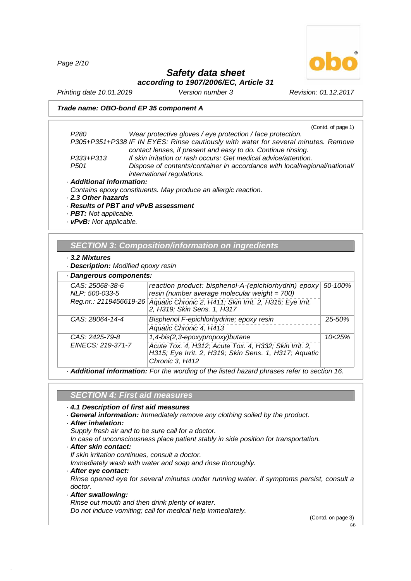*Page 2/10*



# *Safety data sheet according to 1907/2006/EC, Article 31*

*Printing date 10.01.2019 Version number 3 Revision: 01.12.2017*

### *Trade name: OBO-bond EP 35 component A*

(Contd. of page 1)

*P280 Wear protective gloves / eye protection / face protection. P305+P351+P338 IF IN EYES: Rinse cautiously with water for several minutes. Remove contact lenses, if present and easy to do. Continue rinsing. P333+P313 If skin irritation or rash occurs: Get medical advice/attention. P501 Dispose of contents/container in accordance with local/regional/national/ international regulations. · Additional information: Contains epoxy constituents. May produce an allergic reaction. · 2.3 Other hazards*

- *· Results of PBT and vPvB assessment*
- *· PBT: Not applicable. · vPvB: Not applicable.*

# *SECTION 3:Composition/information on ingredients*

#### *· 3.2 Mixtures*

*· Description: Modified epoxy resin*

| Dangerous components:             |                                                                                                                                    |         |
|-----------------------------------|------------------------------------------------------------------------------------------------------------------------------------|---------|
| CAS: 25068-38-6<br>NLP: 500-033-5 | reaction product: bisphenol-A-(epichlorhydrin) epoxy<br>resin (number average molecular weight = 700)                              | 50-100% |
| Reg.nr.: 2119456619-26            | Aquatic Chronic 2, H411; Skin Irrit. 2, H315; Eye Irrit.<br>2, H319; Skin Sens. 1, H317                                            |         |
| CAS: 28064-14-4                   | Bisphenol F-epichlorhydrine; epoxy resin                                                                                           | 25-50%  |
|                                   | Aquatic Chronic 4, H413                                                                                                            |         |
| CAS: 2425-79-8                    | 1,4-bis(2,3-epoxypropoxy)butane                                                                                                    | 10<25%  |
| EINECS: 219-371-7                 | Acute Tox. 4, H312; Acute Tox. 4, H332; Skin Irrit. 2,<br>H315; Eye Irrit. 2, H319; Skin Sens. 1, H317; Aquatic<br>Chronic 3, H412 |         |

*· Additional information: For the wording of the listed hazard phrases refer to section 16.*

# *SECTION 4:First aid measures*

### *· 4.1 Description of first aid measures*

- *· General information: Immediately remove any clothing soiled by the product.*
- *· After inhalation:*
- *Supply fresh air and to be sure call for a doctor.*
- *In case of unconsciousness place patient stably in side position for transportation.*
- *· After skin contact:*
- *If skin irritation continues, consult a doctor.*

*Immediately wash with water and soap and rinse thoroughly.*

*· After eye contact:*

*Rinse opened eye for several minutes under running water. If symptoms persist, consult a doctor.*

*· After swallowing:*

48.0.6

*Rinse out mouth and then drink plenty of water.*

*Do not induce vomiting; call for medical help immediately.*

(Contd. on page 3)

GB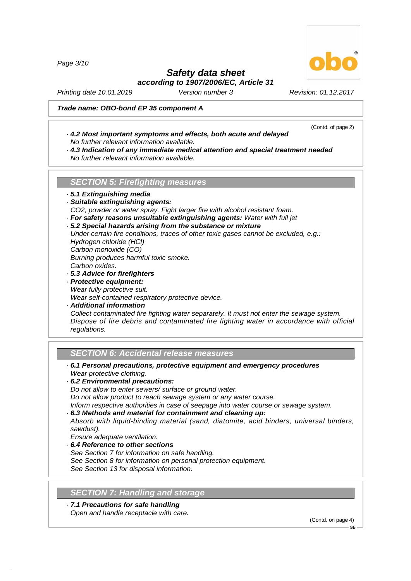*Page 3/10*

# *Safety data sheet*

*according to 1907/2006/EC, Article 31*

*Printing date 10.01.2019 Version number 3 Revision: 01.12.2017*

# *Trade name: OBO-bond EP 35 component A*

- *· 4.2 Most important symptoms and effects, both acute and delayed No further relevant information available.*
- *· 4.3 Indication of any immediate medical attention and special treatment needed No further relevant information available.*

**SECTION 5: Firefighting measures** 

- *· 5.1 Extinguishing media*
- *· Suitable extinguishing agents:*

*CO2, powder or water spray. Fight larger fire with alcohol resistant foam.*

*· For safety reasons unsuitable extinguishing agents: Water with full jet*

# *· 5.2 Special hazards arising from the substance or mixture*

*Under certain fire conditions, traces of other toxic gases cannot be excluded, e.g.: Hydrogen chloride (HCl) Carbon monoxide (CO) Burning produces harmful toxic smoke. Carbon oxides.*

- *· 5.3 Advice for firefighters*
- *· Protective equipment: Wear fully protective suit.*

*Wear self-contained respiratory protective device.*

*· Additional information Collect contaminated fire fighting water separately. It must not enter the sewage system. Dispose of fire debris and contaminated fire fighting water in accordance with official regulations.*

# *SECTION 6:Accidental release measures*

- *· 6.1 Personal precautions, protective equipment and emergency procedures Wear protective clothing.*
- *· 6.2 Environmental precautions:*

*Do not allow to enter sewers/ surface or ground water.*

*Do not allow product to reach sewage system or any water course.*

*Inform respective authorities in case of seepage into water course or sewage system.*

*· 6.3 Methods and material for containment and cleaning up:*

*Absorb with liquid-binding material (sand, diatomite, acid binders, universal binders, sawdust).*

*Ensure adequate ventilation.*

48.0.6

- *· 6.4 Reference to other sections*
- *See Section 7 for information on safe handling.*
- *See Section 8 for information on personal protection equipment.*
- *See Section 13 for disposal information.*

# **SECTION 7: Handling and storage**

*· 7.1 Precautions for safe handling Open and handle receptacle with care.*

(Contd. on page 4) GB



(Contd. of page 2)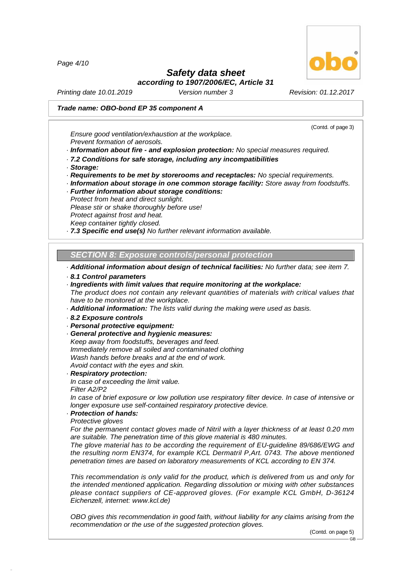*Page 4/10*

# *Safety data sheet*

*according to 1907/2006/EC, Article 31*

*Printing date 10.01.2019 Version number 3 Revision: 01.12.2017*

# *Trade name: OBO-bond EP 35 component A*

*Ensure good ventilation/exhaustion at the workplace. Prevent formation of aerosols.*

*· Information about fire - and explosion protection: No special measures required.*

- *· 7.2 Conditions for safe storage, including any incompatibilities*
- *· Storage:*

*· Requirements to be met by storerooms and receptacles: No special requirements.*

- *· Information about storage in one common storage facility: Store away from foodstuffs.*
- *· Further information about storage conditions:*
- *Protect from heat and direct sunlight.*

*Please stir or shake thoroughly before use!*

- *Protect against frost and heat.*
- *Keep container tightly closed.*

*· 7.3 Specific end use(s) No further relevant information available.*

*SECTION 8:Exposure controls/personal protection*

*· Additional information about design of technical facilities: No further data; see item 7.*

- *· 8.1 Control parameters*
- *· Ingredients with limit values that require monitoring at the workplace:*

*The product does not contain any relevant quantities of materials with critical values that have to be monitored at the workplace.*

*· Additional information: The lists valid during the making were used as basis.*

- *· 8.2 Exposure controls*
- *· Personal protective equipment:*
- *· General protective and hygienic measures:*
- *Keep away from foodstuffs, beverages and feed. Immediately remove all soiled and contaminated clothing*

*Wash hands before breaks and at the end of work.*

*Avoid contact with the eyes and skin.*

*· Respiratory protection:*

*In case of exceeding the limit value.*

*Filter A2/P2*

48.0.6

*In case of brief exposure or low pollution use respiratory filter device. In case of intensive or longer exposure use self-contained respiratory protective device.*

*· Protection of hands:*

*Protective gloves*

*For the permanent contact gloves made of Nitril with a layer thickness of at least 0.20 mm are suitable. The penetration time of this glove material is 480 minutes.*

*The glove material has to be according the requirement of EU-guideline 89/686/EWG and the resulting norm EN374, for example KCL Dermatril P,Art. 0743. The above mentioned penetration times are based on laboratory measurements of KCL according to EN 374.*

*This recommendation is only valid for the product, which is delivered from us and only for the intended mentioned application. Regarding dissolution or mixing with other substances please contact suppliers of CE-approved gloves. (For example KCL GmbH, D-36124 Eichenzell, internet: [www.kcl.de\)](rn)*

*OBO gives this recommendation in good faith, without liability for any claims arising from the recommendation or the use of the suggested protection gloves.*

(Contd. on page 5) GB



(Contd. of page 3)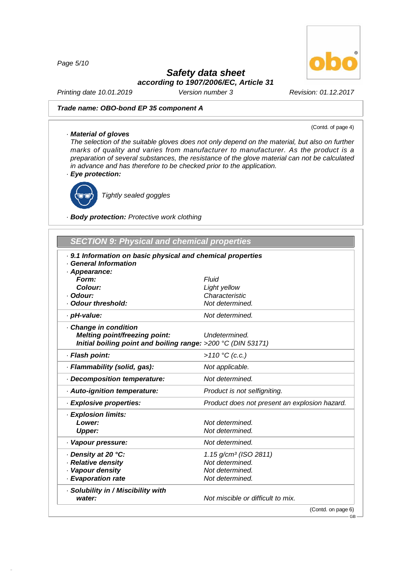*Page 5/10*

# *Safety data sheet*

*according to 1907/2006/EC, Article 31*

*Printing date 10.01.2019 Version number 3 Revision: 01.12.2017*

# *Trade name: OBO-bond EP 35 component A*

#### (Contd. of page 4)

*· Material of gloves The selection of the suitable gloves does not only depend on the material, but also on further marks of quality and varies from manufacturer to manufacturer. As the product is a preparation of several substances, the resistance of the glove material can not be calculated in advance and has therefore to be checked prior to the application.*

*· Eye protection:*



48.0.6

*Tightly sealed goggles*

*· Body protection: Protective work clothing*

| SECTION 9: Physical and chemical properties |  |  |
|---------------------------------------------|--|--|
|                                             |  |  |

| 9.1 Information on basic physical and chemical properties    |                                               |
|--------------------------------------------------------------|-----------------------------------------------|
| <b>General Information</b>                                   |                                               |
| · Appearance:<br>Form:                                       | Fluid                                         |
| Colour:                                                      | Light yellow                                  |
| · Odour:                                                     | Characteristic                                |
| Odour threshold:                                             | Not determined.                               |
| · pH-value:                                                  | Not determined.                               |
| Change in condition                                          |                                               |
| Melting point/freezing point:                                | Undetermined.                                 |
| Initial boiling point and boiling range: >200 °C (DIN 53171) |                                               |
| · Flash point:                                               | >110 °C (c.c.)                                |
| · Flammability (solid, gas):                                 | Not applicable.                               |
| Decomposition temperature:                                   | Not determined.                               |
| · Auto-ignition temperature:                                 | Product is not selfigniting.                  |
| · Explosive properties:                                      | Product does not present an explosion hazard. |
| <b>Explosion limits:</b>                                     |                                               |
| Lower:                                                       | Not determined.                               |
| <b>Upper:</b>                                                | Not determined.                               |
| · Vapour pressure:                                           | Not determined.                               |
| ⋅ Density at 20 °C:                                          | 1.15 $g/cm^3$ (ISO 2811)                      |
| · Relative density                                           | Not determined.                               |
| · Vapour density                                             | Not determined.                               |
| · Evaporation rate                                           | Not determined.                               |
| · Solubility in / Miscibility with                           |                                               |
| water:                                                       | Not miscible or difficult to mix.             |

(Contd. on page 6)

 $-$  GB-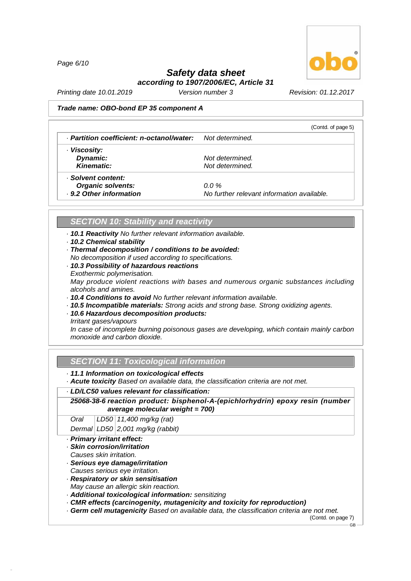*Page 6/10*



# *Safety data sheet according to 1907/2006/EC, Article 31*

*Printing date 10.01.2019 Version number 3 Revision: 01.12.2017*

#### *Trade name: OBO-bond EP 35 component A*

|                                           | (Contd. of page 5)                         |
|-------------------------------------------|--------------------------------------------|
| · Partition coefficient: n-octanol/water: | Not determined.                            |
| · Viscosity:                              |                                            |
| Dynamic:                                  | Not determined.                            |
| Kinematic:                                | Not determined.                            |
| · Solvent content:                        |                                            |
| <b>Organic solvents:</b>                  | $0.0\%$                                    |
| . 9.2 Other information                   | No further relevant information available. |

# *SECTION 10: Stability and reactivity*

- *· 10.1 Reactivity No further relevant information available.*
- *· 10.2 Chemical stability*
- *· Thermal decomposition / conditions to be avoided:*
- *No decomposition if used according to specifications.*
- *· 10.3 Possibility of hazardous reactions*
- *Exothermic polymerisation. May produce violent reactions with bases and numerous organic substances including alcohols and amines.*
- *· 10.4 Conditions to avoid No further relevant information available.*
- *· 10.5 Incompatible materials: Strong acids and strong base. Strong oxidizing agents.*
- *· 10.6 Hazardous decomposition products:*
- *Irritant gases/vapours*

*In case of incomplete burning poisonous gases are developing, which contain mainly carbon monoxide and carbon dioxide.*

### *SECTION 11: Toxicological information*

*· 11.1 Information on toxicological effects*

*· Acute toxicity Based on available data, the classification criteria are not met.*

#### *· LD/LC50 values relevant for classification:*

*25068-38-6 reaction product: bisphenol-A-(epichlorhydrin) epoxy resin (number average molecular weight = 700)*

*Oral LD50 11,400 mg/kg (rat)*

*Dermal LD50 2,001 mg/kg (rabbit)*

- *· Primary irritant effect:*
- *· Skin corrosion/irritation*
- *Causes skin irritation.*

48.0.6

- *· Serious eye damage/irritation*
- *Causes serious eye irritation.*
- *· Respiratory or skin sensitisation*
- *May cause an allergic skin reaction.*
- *· Additional toxicological information: sensitizing*
- *· CMR effects (carcinogenity, mutagenicity and toxicity for reproduction)*
- *· Germ cellmutagenicity Based on available data, the classification criteria are not met.*

(Contd. on page 7)

GB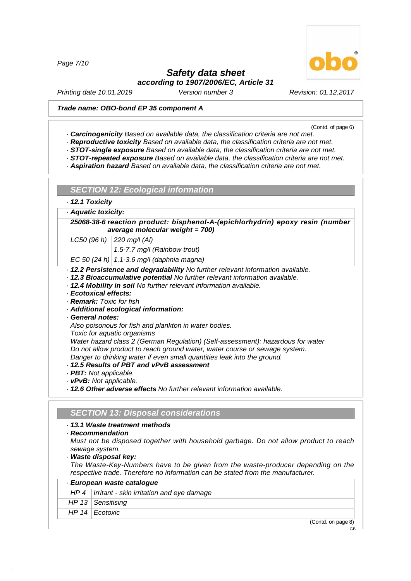*Page 7/10*

# *Safety data sheet according to 1907/2006/EC, Article 31*

*Printing date 10.01.2019 Version number 3 Revision: 01.12.2017*

#### *Trade name: OBO-bond EP 35 component A*

(Contd. of page 6)

GB

- *· Carcinogenicity Based on available data, the classification criteria are not met.*
- *· Reproductive toxicity Based on available data, the classification criteria are not met.*
- *· STOT-single exposure Based on available data, the classification criteria are not met.*
- *· STOT-repeated exposure Based on available data, the classification criteria are not met.*
- *· Aspiration hazard Based on available data, the classification criteria are not met.*

*SECTION 12: Ecological information*

*· 12.1 Toxicity*

*· Aquatic toxicity:*

*25068-38-6 reaction product: bisphenol-A-(epichlorhydrin) epoxy resin (number average molecular weight = 700)*

*LC50 (96 h) 220 mg/l (Al)*

*1.5-7.7 mg/l (Rainbow trout)*

*EC 50 (24 h) 1.1-3.6 mg/l (daphnia magna)*

- *· 12.2 Persistence and degradability No further relevant information available.*
- *· 12.3 Bioaccumulative potential No further relevant information available.*
- *· 12.4 Mobility in soil No further relevant information available.*
- *· Ecotoxical effects:*
- *· Remark: Toxic for fish*
- *· Additional ecological information:*
- *· General notes:*

*Also poisonous for fish and plankton in water bodies.*

*Toxic for aquatic organisms*

*Water hazard class 2 (German Regulation) (Self-assessment): hazardous for water Do not allow product to reach ground water, water course or sewage system. Danger to drinking water if even small quantities leak into the ground.*

- *· 12.5 Results of PBT and vPvB assessment*
- *· PBT: Not applicable.*
- *· vPvB: Not applicable.*

*· 12.6 Other adverse effects No further relevant information available.*

#### *SECTION 13: Disposal considerations*

#### *· 13.1 Waste treatment methods*

*· Recommendation*

*Must not be disposed together with household garbage. Do not allow product to reach sewage system.*

*· Waste disposal key:*

48.0.6

*The Waste-Key-Numbers have to be given from the waste-producer depending on the respective trade. Therefore no information can be stated from the manufacturer.*

| · European waste catalogue                         |
|----------------------------------------------------|
| $HP 4$   Irritant - skin irritation and eye damage |
| HP 13 Sensitising                                  |
| HP 14 Ecotoxic                                     |
| (Contd. on page 8)                                 |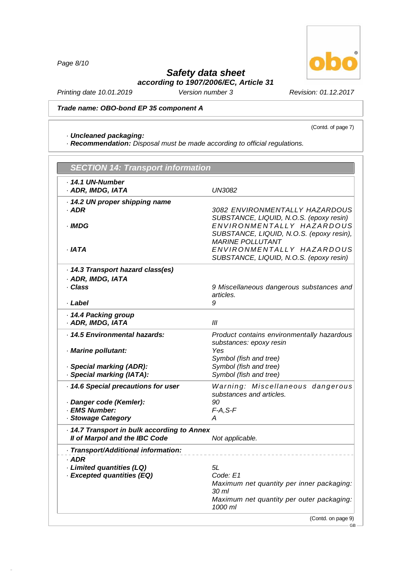*Page 8/10*

48.0.6

# *Safety data sheet according to 1907/2006/EC, Article 31*

(Contd. of page 7)

*Printing date 10.01.2019 Version number 3 Revision: 01.12.2017*

*Trade name: OBO-bond EP 35 component A*

# *· Uncleaned packaging:*

*· Recommendation: Disposal must be made according to official regulations.*

| · 14.1 UN-Number<br>· ADR, IMDG, IATA<br>14.2 UN proper shipping name<br>· ADR<br>· IMDG<br>· IATA<br>14.3 Transport hazard class(es)<br>· ADR, IMDG, IATA<br>· Class<br>· Label<br>14.4 Packing group | <b>UN3082</b><br><b>MARINE POLLUTANT</b><br>SUBSTANCE, LIQUID, N.O.S. (epoxy resin)<br>articles.<br>9<br>Ш                                                                       |
|--------------------------------------------------------------------------------------------------------------------------------------------------------------------------------------------------------|----------------------------------------------------------------------------------------------------------------------------------------------------------------------------------|
|                                                                                                                                                                                                        | SUBSTANCE, LIQUID, N.O.S. (epoxy resin)                                                                                                                                          |
|                                                                                                                                                                                                        | 3082 ENVIRONMENTALLY HAZARDOUS<br>ENVIRONMENTALLY HAZARDOUS<br>SUBSTANCE, LIQUID, N.O.S. (epoxy resin),<br>ENVIRONMENTALLY HAZARDOUS<br>9 Miscellaneous dangerous substances and |
|                                                                                                                                                                                                        |                                                                                                                                                                                  |
|                                                                                                                                                                                                        |                                                                                                                                                                                  |
|                                                                                                                                                                                                        |                                                                                                                                                                                  |
|                                                                                                                                                                                                        |                                                                                                                                                                                  |
|                                                                                                                                                                                                        |                                                                                                                                                                                  |
|                                                                                                                                                                                                        |                                                                                                                                                                                  |
|                                                                                                                                                                                                        |                                                                                                                                                                                  |
|                                                                                                                                                                                                        |                                                                                                                                                                                  |
|                                                                                                                                                                                                        |                                                                                                                                                                                  |
|                                                                                                                                                                                                        |                                                                                                                                                                                  |
|                                                                                                                                                                                                        |                                                                                                                                                                                  |
|                                                                                                                                                                                                        |                                                                                                                                                                                  |
|                                                                                                                                                                                                        |                                                                                                                                                                                  |
| · ADR, IMDG, IATA                                                                                                                                                                                      |                                                                                                                                                                                  |
| · 14.5 Environmental hazards:                                                                                                                                                                          | Product contains environmentally hazardous                                                                                                                                       |
|                                                                                                                                                                                                        | substances: epoxy resin                                                                                                                                                          |
| · Marine pollutant:                                                                                                                                                                                    | Yes                                                                                                                                                                              |
|                                                                                                                                                                                                        | Symbol (fish and tree)                                                                                                                                                           |
| · Special marking (ADR):                                                                                                                                                                               | Symbol (fish and tree)                                                                                                                                                           |
| · Special marking (IATA):                                                                                                                                                                              | Symbol (fish and tree)                                                                                                                                                           |
| 14.6 Special precautions for user                                                                                                                                                                      | Warning: Miscellaneous dangerous                                                                                                                                                 |
|                                                                                                                                                                                                        | substances and articles.                                                                                                                                                         |
| · Danger code (Kemler):                                                                                                                                                                                | 90                                                                                                                                                                               |
| · EMS Number:                                                                                                                                                                                          | $F-A, S-F$                                                                                                                                                                       |
| · Stowage Category                                                                                                                                                                                     | A                                                                                                                                                                                |
| 14.7 Transport in bulk according to Annex                                                                                                                                                              |                                                                                                                                                                                  |
| Il of Marpol and the IBC Code                                                                                                                                                                          | Not applicable.                                                                                                                                                                  |
| · Transport/Additional information:                                                                                                                                                                    |                                                                                                                                                                                  |
| $·$ ADR                                                                                                                                                                                                |                                                                                                                                                                                  |
| <b>Limited quantities (LQ)</b> .                                                                                                                                                                       | 51                                                                                                                                                                               |
| · Excepted quantities (EQ)                                                                                                                                                                             | Code: E1                                                                                                                                                                         |
|                                                                                                                                                                                                        | Maximum net quantity per inner packaging:                                                                                                                                        |
|                                                                                                                                                                                                        | 30 ml                                                                                                                                                                            |
|                                                                                                                                                                                                        | Maximum net quantity per outer packaging:<br>1000 ml                                                                                                                             |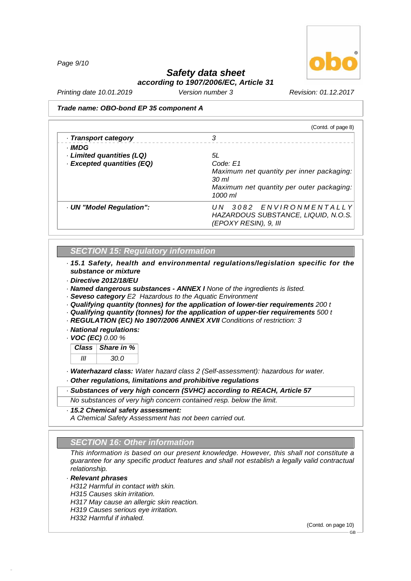*Page 9/10*



# *Safety data sheet*

*according to 1907/2006/EC, Article 31*

*Printing date 10.01.2019 Version number 3 Revision: 01.12.2017*

#### *Trade name: OBO-bond EP 35 component A*

| (Contd. of page 8)                        |
|-------------------------------------------|
| 3                                         |
|                                           |
| 5L                                        |
| Code: E1                                  |
| Maximum net quantity per inner packaging: |
| 30 <sub>ml</sub>                          |
| Maximum net quantity per outer packaging: |
| $1000$ ml                                 |
| 3082 ENVIRONMENTALLY<br>UN –              |
| HAZARDOUS SUBSTANCE, LIQUID, N.O.S.       |
| (EPOXY RESIN), 9, III                     |
|                                           |

# *SECTION 15: Regulatory information*

*· 15.1 Safety, health and environmental regulations/legislation specific for the substance or mixture*

*· Directive 2012/18/EU*

*· Named dangerous substances - ANNEX I None of the ingredients is listed.*

- *· Seveso category E2 Hazardous to the Aquatic Environment*
- *· Qualifying quantity (tonnes) for the application of lower-tier requirements 200 t*
- *· Qualifying quantity (tonnes) for the application of upper-tier requirements 500 t*
- *· REGULATION (EC) No 1907/2006 ANNEX XVII Conditions of restriction: 3*

*· National regulations:*

*· VOC (EC) 0.00 %*

*Class Share in % III 30.0*

*· Waterhazard class: Water hazard class 2 (Self-assessment): hazardous for water.*

*· Other regulations, limitations and prohibitive regulations*

*· Substances of very high concern (SVHC) according to REACH, Article 57*

*No substances of very high concern contained resp. below the limit.*

#### *· 15.2 Chemical safety assessment:*

*A Chemical Safety Assessment has not been carried out.*

# *SECTION 16: Other information*

*This information is based on our present knowledge. However, this shall not constitute a guarantee for any specific product features and shall not establish a legally valid contractual relationship.*

### *· Relevant phrases*

48.0.6

*H312 Harmful in contact with skin. H315 Causes skin irritation. H317 May cause an allergic skin reaction. H319 Causes serious eye irritation. H332 Harmful if inhaled.*

(Contd. on page 10)

GB